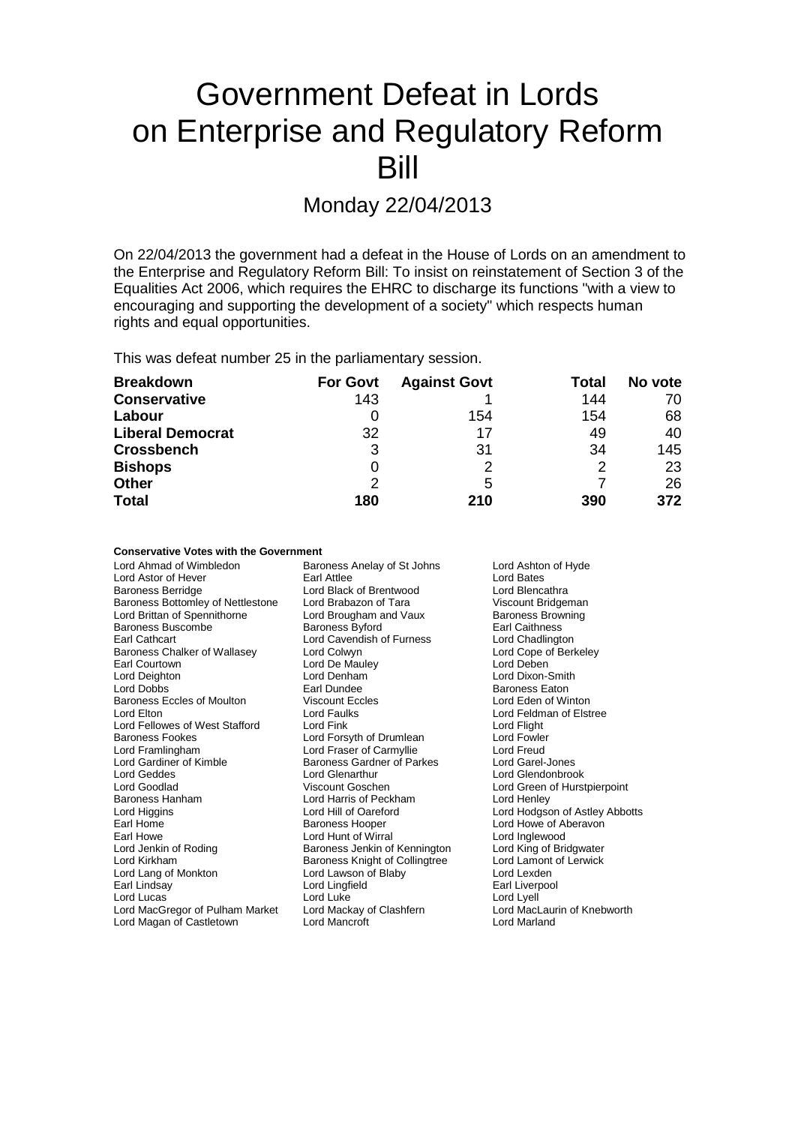## Government Defeat in Lords on Enterprise and Regulatory Reform Bill

Monday 22/04/2013

On 22/04/2013 the government had a defeat in the House of Lords on an amendment to the Enterprise and Regulatory Reform Bill: To insist on reinstatement of Section 3 of the Equalities Act 2006, which requires the EHRC to discharge its functions "with a view to encouraging and supporting the development of a society" which respects human rights and equal opportunities.

This was defeat number 25 in the parliamentary session.

| <b>Breakdown</b>        | <b>For Govt</b> | <b>Against Govt</b> | Total | No vote |
|-------------------------|-----------------|---------------------|-------|---------|
| <b>Conservative</b>     | 143             |                     | 144   | 70      |
| Labour                  |                 | 154                 | 154   | 68      |
| <b>Liberal Democrat</b> | 32              | 17                  | 49    | 40      |
| <b>Crossbench</b>       | 3               | 31                  | 34    | 145     |
| <b>Bishops</b>          | 0               |                     | 2     | 23      |
| <b>Other</b>            | 2               | 5                   |       | 26      |
| <b>Total</b>            | 180             | 210                 | 390   | 372     |

### **Conservative Votes with the Government**

| Lord Ahmad of Wimbledon           | Baroness Anelay of St Johns    | Lord Ashton of Hyde            |
|-----------------------------------|--------------------------------|--------------------------------|
| Lord Astor of Hever               | Earl Attlee                    | Lord Bates                     |
| <b>Baroness Berridge</b>          | Lord Black of Brentwood        | Lord Blencathra                |
| Baroness Bottomley of Nettlestone | Lord Brabazon of Tara          | Viscount Bridgeman             |
| Lord Brittan of Spennithorne      | Lord Brougham and Vaux         | <b>Baroness Browning</b>       |
| Baroness Buscombe                 | Baroness Byford                | <b>Earl Caithness</b>          |
| Earl Cathcart                     | Lord Cavendish of Furness      | Lord Chadlington               |
| Baroness Chalker of Wallasey      | Lord Colwyn                    | Lord Cope of Berkeley          |
| Earl Courtown                     | Lord De Mauley                 | Lord Deben                     |
| Lord Deighton                     | Lord Denham                    | Lord Dixon-Smith               |
| <b>Lord Dobbs</b>                 | Earl Dundee                    | <b>Baroness Eaton</b>          |
| Baroness Eccles of Moulton        | Viscount Eccles                | Lord Eden of Winton            |
| Lord Elton                        | Lord Faulks                    | Lord Feldman of Elstree        |
| Lord Fellowes of West Stafford    | Lord Fink                      | Lord Flight                    |
| <b>Baroness Fookes</b>            | Lord Forsyth of Drumlean       | Lord Fowler                    |
| Lord Framlingham                  | Lord Fraser of Carmyllie       | Lord Freud                     |
| Lord Gardiner of Kimble           | Baroness Gardner of Parkes     | Lord Garel-Jones               |
| Lord Geddes                       | Lord Glenarthur                | Lord Glendonbrook              |
| Lord Goodlad                      | Viscount Goschen               | Lord Green of Hurstpierpoint   |
| <b>Baroness Hanham</b>            | Lord Harris of Peckham         | Lord Henley                    |
| Lord Higgins                      | Lord Hill of Oareford          | Lord Hodgson of Astley Abbotts |
| Earl Home                         | <b>Baroness Hooper</b>         | Lord Howe of Aberavon          |
| Earl Howe                         | Lord Hunt of Wirral            | Lord Inglewood                 |
| Lord Jenkin of Roding             | Baroness Jenkin of Kennington  | Lord King of Bridgwater        |
| Lord Kirkham                      | Baroness Knight of Collingtree | Lord Lamont of Lerwick         |
| Lord Lang of Monkton              | Lord Lawson of Blaby           | Lord Lexden                    |
| Earl Lindsay                      | Lord Lingfield                 | Earl Liverpool                 |
| Lord Lucas                        | Lord Luke                      | Lord Lyell                     |
| Lord MacGregor of Pulham Market   | Lord Mackay of Clashfern       | Lord MacLaurin of Knebworth    |
| Lord Magan of Castletown          | Lord Mancroft                  | Lord Marland                   |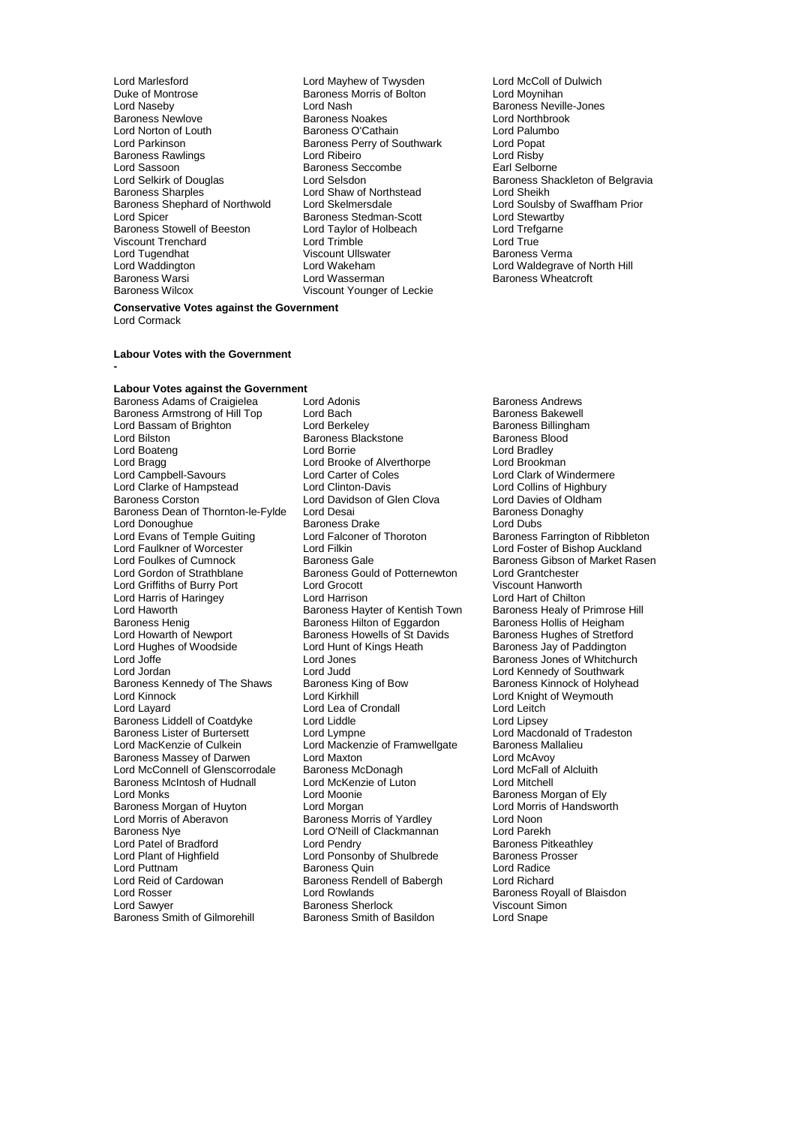Lord Marlesford **Lord Mayhew of Twysden** Lord McColl of Dulwich<br>
Duke of Montrose **Lord Mayhew of Bolton** Lord Moynihan Duke of Montrose Baroness Morris of Bolton<br>
Lord Naseby<br>
Lord Nash external Baroness Noakes Correspondences Noakes<br>
Baroness O'Cathain Marchiness Correspondences Correspondences Correspondences Correspondences Correspondences<br>
Lord Palumbo Lord Norton of Louth **Baroness O'Cathain** Lord Palum<br>Lord Parkinson **Baroness Perry of Southwark** Lord Popat Baroness Rawlings Lord Ribeiro Lord Risby Lord Sassoon Baroness Seccombe<br>
Lord Selskirk of Douglas<br>
Lord Selsdon Baroness Shephard of Northwold Lord Skelmersdale Lord Coulsby of Lord Soulsby of Lord Soulsby of Baroness Stedman-Scott Lord Stewartby Baroness Stowell of Beeston Lord Taylor of Holbeach Lord Trefg<br>
Lord Trefgarness Stowell of Hord Trefgarness Lord Trefgareness Lord True Viscount Trenchard Lord Trimble Lord True Lord Tugendhat Viscount Ullswater Baroness Viscount Ullswater Baroness Viscount Ullswater Baroness V<br>
Baroness Vermann Haroness Vermann Haroness Vermann Haroness Vermann Haroness Vermann Haroness Vermann Harones<br>
1990 - Jo Lord Waddington **Lord Wakeham** Lord Waldegrave of North Hill<br>Baroness Warsi **Lord Wasserman** Baroness Wheatcroft Baroness Warsi **Research State Lord Wasserman** Baroness Wheatcroft<br>
Baroness Wilcox **Baroness Wilcox** Viscount Younger of Leckie

Lord Nash **Baroness Neville-Jones**<br>
Baroness Noakes<br> **Baroness News** Lord Northbrook Baroness Perry of Southwark Lord Popat<br>
Lord Ribeiro **Lord Rishy** Exaroness Stedman-Scott Lord Stewartby<br>
Lord Taylor of Holbeach Lord Trefgarne Viscount Younger of Leckie

Lord Selkirk of Douglas Lord Selsdon<br>
Lord Shav of Northstead
Baroness Sharples
Baroness Sharples
Baroness
Lord Shaw of Northstead
Lord Sheikh
Baroness
Sharples

Baroness
Lord Sheikh
Baroness
Sharples

Lord Shaw
of Northst Lord Shaw of Northstead<br>
Lord Skelmersdale<br>
Lord Soulsby of Swaffham Prior

### **Conservative Votes against the Government** Lord Cormack

### **Labour Votes with the Government**

#### **-**

### **Labour Votes against the Government**

Baroness Armstrong of Hill Top Lord Bach Communisty Baroness Bakewell<br>
Lord Bassam of Brighton Lord Berkeley Communisty Baroness Billingham Lord Bassam of Brighton Lord Berkeley Communic Baroness Billing<br>
Lord Bilston Baroness Blackstone Baroness Blood<br>
Baroness Blood Lord Boateng Lord Borrie Lord Bradley Lord Bragg degree and Lord Brooke of Alverthorpe<br>
Lord Campbell-Savours
Lord Carter of Coles Lord Clarke of Hampstead Lord Clinton-Davis Lord Collins of Highbury<br>Baroness Corston Corress Lord Davidson of Glen Clova Lord Davies of Oldham Baroness Dean of Thornton-le-Fylde Lord Desai Communication and Baroness I<br>Lord Donoughue Baroness Drake Communication Cord Dubs Lord Donoughue<br>
Lord Evans of Temple Guiting<br>
Lord Falconer of Thoroton Lord Evans of Temple Guiting Lord Falconer of Thoroton Baroness Farrington of Ribbleton<br>
Lord Fallkner of Worcester Lord Filkin Lord Foster of Bishop Auckland Lord Faulkner of Worcester [1994] Lord Filkin | Lord Foster of Bishop Auckland Lord Foster of Bishop Auckland<br>
Lord Foulkes of Cumnock | Raroness Gale | Raroness Gibson of Market Ras Lord Foulkes of Cumnock **Baroness Gale** Baroness Gale Baroness Gibson of Market Rasen<br>Baroness Gould of Potternewton Lord Grantchester Lord Griffiths of Burry Port Lord Grocott Cord Constanting Cord Cord Cord Lord Hanworth<br>
Lord Harris of Haringey Lord Harrison Cord Harrison Lord Harrison Lord Harris of Haringey<br>
Lord Haworth **Lord Hart Communist Communist Hart Communist Communist Childen**<br>
Lord Haworth **Chiltonn** Baroness Hayter of Kentish Town Lord Haworth **Baroness Hayter of Kentish Town** Baroness Healy of Primrose Hill<br>Baroness Henig **Baroness Hilton of Eggardon** Baroness Hollis of Heigham Baroness Henig Baroness Hilton of Eggardon Baroness Hollis of Heigham<br>
Baroness Howells of St Davids Baroness Hughes of Stretford Lord Howarth of Newport Baroness Howells of St Davids<br>
Lord Hughes of Woodside<br>
Lord Hunt of Kings Heath Lord Hughes of Woodside Lord Hunt of Kings Heath Baroness Jay of Paddington<br>
Lord Joffe Cord Jones Cord Jones Baroness Jones of Whitchure Lord Joffe Lord Jones Baroness Jones of Whitchurch Lord Jordan **Lord Lord Judd** Lord Judd Lord Cord Kennedy of Southwark<br>Baroness Kennedy of The Shaws Baroness King of Bow Baroness Kinnock of Holyhe Baroness Kennedy of The Shaws Baroness King of Bow Baroness Kinnock of Holyhead<br>
Lord Kinnock Cord Kinnock Cord Kirkhill<br>
Lord Kinght of Weymouth Lord Kinnock **Lord Kirkhill** Lord Knight of Weymouth<br>
Lord Layard **Lord Lea of Crondall** Lord Lea to Lord Leitch Baroness Liddell of Coatdyke<br>Baroness Lister of Burtersett Baroness Lister of Burtersett Lord Lympne Lord Macdonald of Tradeston<br>Lord MacKenzie of Culkein Lord Mackenzie of Framwellgate Baroness Mallalieu Baroness Massey of Darwen Lord Maxton Lord The Lord McAvoy<br>Lord McConnell of Glenscorrodale Baroness McDonagh Lord McFall of Alcluith Lord McConnell of Glenscorrodale Baroness McDonagh Lord McFall of Baroness McDonagh Lord Michell<br>Baroness McIntosh of Hudnall Lord McKenzie of Luton Lord Mitchell Baroness McIntosh of Hudnall Lord McKenzie of Luton<br>
Lord Moonie<br>
Lord Moonie Baroness Morgan of Huyton Lord Morgan Lord Morris Cord Morris Cord Morris Cord Morris<br>
Lord Morris of Aberavon Baroness Morris of Yardley Lord Noon Baroness Nye Lord O'Neill of Clackmannan Lord Parekh Lord Patel of Bradford **Lord Pendry** Lord Pendry **Baroness Pitkeath**<br>
Lord Plant of Highfield **Baroness Prosser**<br>
Lord Ponsonby of Shulbrede **Baroness Prosser** Lord Plant of Highfield Lord Ponsonby of Shulbrede Baroness Productional Lord Puttnam Cord Puttnam Baroness Quin Lord Reid of Cardowan **Baroness Rendell of Babergh** Lord Richard<br>
Lord Rosser **Baroness Romess Romess** Romess Romess Romess Romess Romess Romess Romess Romess Romess Romess Romess Romess Romess Romess Romess Romess Romess Lord Rosser **Lord Rowlands** Corporation Corporation Corporation Corporation Corporation Corporation Corporation<br>Baroness Sherlock Lord Ciscount Simon Corporation Corporation Ciscount Simon Corporation Corporation Corporati

Baroness Adams of Craigielea Lord Adonis<br>
Baroness Armstrong of Hill Top Lord Bach<br>
Lord Bach Chroness Bakewell Examples Blackstone<br>
Examples Blackstone<br>
Baroness Blood Bradley<br>
Lord Bradley Lord Carter of Coles Lord Clark of Windermere<br>
Lord Clinton-Davis Lord Collins of Highbury Lord Davidson of Glen Clova Lord Davies of Oldham<br>Lord Desai Lord Baroness Donaghy Baroness Gould of Potternewton Lord Grantchester<br>
Lord Grocott Cord Creation Criscount Hanworth Lord Lea of Crondall Lord Leitch<br>
Lord Liddle Lord Lipsey Lord Mackenzie of Framwellgate Baroness Ma<br>Lord Maxton Lord McAvoy Lord Moonie **Baroness Morgan of Ely**<br>
Lord Morgan **Communist Lord Morris of Handsworth** Baroness Morris of Yardley **Lord Noon**<br>
Lord O'Neill of Clackmannan **Lord Parekh** Baroness Quin Baroness Sherlock<br>Baroness Smith of Basildon Baroness Smith of Gilmorehill Baroness Smith of Basildon Lord Snape